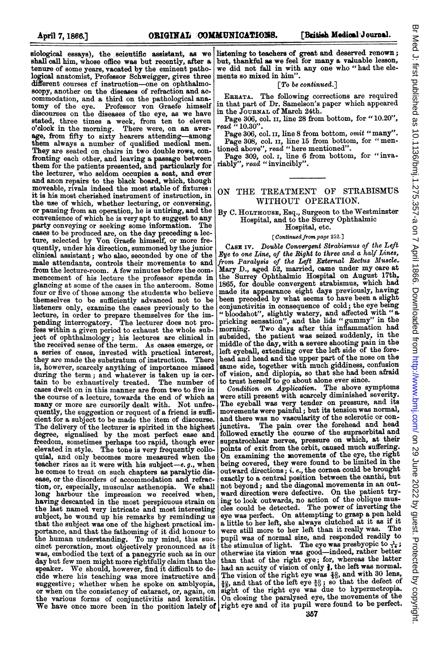siological essays), the scientific assistant, as we shall call him, whose office was but recently, after a tenure of some years, vacated by the eminent pathological anatomist, Professor Schweigger, gives three different courses cf instruction-one on ophthalmoscopy, another on the diseases of refraction and accommodation, and a third on the pathological ana-<br>tomy of the eye. Professor von Graefe himself Professor von Graefe himself discourses on the diseases of the eye, as we have stated, three times a week, from ten to eleven o'clock in the morning. There were, on an average, from fifty to sixty hearers attending-among them always a number of qualified medical men. They are seated on chairs in two double rows, confronting each other, and leaving a passage between them for the patients presented, and particularly for the lecturer, who seldom occupies a seat, and ever and anon repairs to the black board, which, though moveable, rivals indeed the most stable of fixtures: it is his most cherished instrument of instruction, in the use of which, whether lecturing, or conversing, or pausing from an operation, he is untiring, and the convenience of which he is very apt to suggest to any party conveying or seeking some information. The cases to be produced are, on the day preceding a lec-ture, selected by Von Graefe himself, or more frequently, under his direction, summoned by the junior clinical assistant; who also, seconded by one of the male attendants, controls their movements to and from the lecture-room. A few minutes before the commencement of his lecture the professor spends in glancing at some of the cases in the anteroom. Some four or five of those among the students who believe themselves to be sufficiently advanced not to be listeners only, examine the cases previously to the lecture, in order to prepare themselves for the im-pending interrogatory. The lecturer does not profess within a given period to exhaust the whole subject of ophthalmology; his lectures are clinical in the received sense of the term. As cases emerge, or a series of cases, invested with practical interest, they are made the substratum of instruction. There is, however, scarcely anything of importance missed during the term; and whatever is taken up is cer-<br>tain to be exhaustively treated. The number of tain to be exhaustively treated. cases dwelt on in this manner are from two to five in the course of a lecture, towards the end of which as many or more are cursorily dealt with. Not unfrequently, the suggestion or request of a friend is sufficient for a subject to be made the item of discourse. The delivery of the lecturer is spirited in the highest degree, signalised by the most perfect ease and freedom, sometimes perhaps too rapid, though ever elevated in style. The tone is very frequently colloquial, and only becomes more measured when the teacher rises as it were with his subject-e.g., when he comes to treat on such chapters as paralytic disease, or the disorders of accommodation and refraction, or, especially, muscular asthenopia. We shall long harbour the impression we received when, having descanted in the most perspicuous strain on the last named very intricate and most interesting subject, he wound up his remarks by reminding us that the subject was one of the highest practical importance, and that the fathoming of it did honour to the human understanding. To my mind, this succinct peroration, most objectively pronounced as it was, embodied the text of a panegyric such as in our day but few men might more rightfully claim than the speaker. We should, however, find it difficult to decide where his teaching was more instructive and suggestive; whether when he spoke on amblyopia, or when on the consistency of cataract, or, again, on

listening to teachers of great and deserved renown; but, thankful as we feel for many a valuable lesson, we did not fall in with any one who "had the elements so mixed in him".

# [To be continued.]

ERRATA. The following corrections are required in that part of Dr. Samelson's paper which appeared in the JOURNAL of March 24th.

Page 306, col. II, line 28 from bottom, for "10.20", read  $\cdot$  10.30".

Page 306, col. II, line 8 from bottom, omit "many". Page 308, col. II, line 15 from bottom, for "mentioned above", read "here mentioned".

Page 309, col. I, line 6 from bottom, for "inva-<br>riably", read "invincibly".

## ON THE TREATMENT OF STRABISMUS WITHOUT OPERATION.

By C. HOLTHOUsE, Esq., Surgeon to the Westminster Hospital, and to the Surrey Ophthalmic Hospital, etc.

# [Continued from page 252.]

CASE iv. Double Convergent Strabismus of the Left Eye to one Line, of the Right to three and a half Lines, from Paralysis of the Left External Rectus Muscle Mary D., aged 52, married, came under my care at the Surrey Ophthalmic Hospital on August 17th, 1865, for double convergent strabismus, which had made its appearance eight days previously, having been preceded by what seems to have been a slight conjunctivitis in consequence of cold; the eye being " bloodshot", slightly watery, and affected with " a, pricking sensation", and the lids "gummy" in the morning. Two days after this inflammation had subsided, the patient was seized suddenly, in the middle of the day, with a severe shooting pain in the left eyeball, extending over the left side of the forehead and head and the upper part of the nose on the same side, together with much giddiness, confusion of vision, and diplopia, so that she had been afraid to trust herself to go about alone ever since.

the various forms of conjunctivitis and keratitis. On closing the paralysed eye, the movements of the We have once more been in the position lately of right eye and of its pupil were found to be perfect. Condition on Application. The above symptoms were still present with scarcely diminished severity. The eyeball was very tender on pressure, and its movements were painful; but its tension was normal, and there was no vascularity of the sclerotic or conjunctiva. The pain over the forehead and head followed exactly the course of the supraorbital and supratrochlear nerves, pressure on which, at their points of exit from the orbit, caused much suffering. On examining the movements of the eye, the right being covered, they were found to be limited in the outward directions; i. e., the cornea could be brought exactly to a central position between the canthi, but not beyond; and the diagonal movements in an outward direction were defective. On the patient trying to look outwards, no action of the oblique mus-cles could be detected. The power of inverting the eye was perfect. On attempting to grasp a pen held a little to her left, she always clutched at it as if it were still more to her left than it really was. The pupil was of normal size, and responded readily to the stimulus of light. The eye was presbyopic to  $\frac{1}{16}$ ; otherwise its vision was good—indeed, rather better than that of the right eye; for, whereas the latter had an acuity of vision of only  $\frac{2}{3}$ , the left was normal. The vision of the right eye was  $\frac{20}{30}$ , and with 30 lens,  $\frac{20}{20}$ , and that of the left eye  $\frac{20}{20}$ ; so that the defect of sight of the right eye was due to hypermetropia.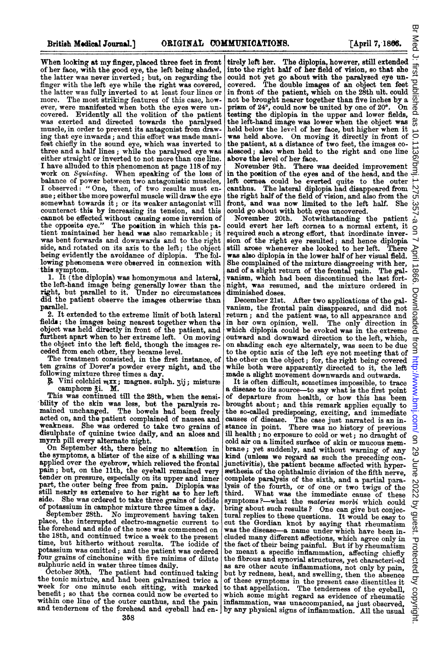When looking at my finger, placed three feet in front<br>of her face, with the good eye, the left being shaded,<br>the latter was never inverted; but, on regarding the finger with the left eye while the right was covered, the latter was fully inverted to at least four lines or more. The most striking features of this case, however, were manifested when both the eyes were uncovered. Evidently all the volition of the patient was exerted and directed towards the paralysed muscle, in order to prevent its antagonist from drawing that eye inwards; and this effort was made manifest chiefly in the sound eye, which was inverted to three and a half lines; while the paralysed eye was<br>either straight or inverted to not more than one line. <sup>I</sup> have alluded to this phenomenon at page <sup>118</sup> of my work on Squintting. When speaking of the loss of balance of power between two antagonistic muscles, I observed: "One, then, of two results must ensue; either the more powerful muscle will draw the eye somewhat towards it; or its weaker antagonist will counteract this by increasing its tension, and this cannot be effected without causing some inversion of the opposite eye." The position in which this patient maintained her head was also remarkable; it was bent forwards and downwards and to the right side, and rotated on its axis to the left; the object being evidently the avoidance of diplopia. The foi lowing phenomena were observed in connexion with this symptom.

1. It (the diplopia) was homonymous and lateral, the left-hand image being generally lower than the right, but parallel to it. Under no circumstances did the patient observe the images otherwise than paralel.

2. It extended to the extreme limit of both lateral fields; the images being nearest together when the object was held directly in front of the patient, and furthest apart when to her extreme left. On moving the object into the left field, though the images re-

ceded from each other, they became level. The treatment consisted, in the first instance, of ten grains of Dover's powder every night, and the following mixture three times a day.

 $\mathcal{F}$  Vini colchici  $\max$ ; magnes. sulph. 3ij; mistures camphores 3i. M.

This was continued till the 28th, when the sensibility of the skin was less, but the paralysis re-mained unchanged. The bowels had been freely acted on, and the patient complained of nausea and weakness. She was ordered to take two grains of disulphate of quinine twice daily, and an aloes and

myrrh pill every alternate night. On September 4th, there being no alteration in the symptoms, a blister of the size of a shilling was applied over the eyebrow, which relieved the frontal pain; but, on the 11th, the eyeball remained very tender on pressure, especially on its upper and inner part, the outer being free from pain. Diplopia was still nearly as extensive to her right as to her left side. She was ordered to take three grains of iodide of potassium in camphor mixture three times a day.

September 28th. No improvement having taken place, the interrupted electro-magnetic current to the forehead and side of the nose was commenced on the 18th, and continued twice a week to the present time, but hitherto without results. The iodide of potassium was omitted; and the patient was ordered<br>four grains of cinchonine with five minims of dilute<br>culplumia of cinchonine with five minims of dilute sulphuric acid in water three times daily.

October 30th. The patient had continued taking the tonic mixture, and had been galvanised twice a week for one minute each sitting, with marked benefit; so that the cornea could now be everted to within one line of the outer canthus, and the pain and tenderness of the forehead and eyeball had entirely left her. The diplopia, however, still extended into the right half of her field of vision, so that she  $\frac{1}{\omega}$ . into the right half of her field of vision, so that she could not yet go about with the paralysed eye un-covered. The double images of an object ten feet in front of the patient, which on the 28th ult. could  $\overline{\Box}$ not be brought nearer together than five inches by a prism of <sup>24</sup>', could now be united by one of <sup>20</sup>'. On testing the diplopia in the upper and lower fields, the left-hand image was lower when the object was held below the level of her face, but higher when it was held above. On moving it directly in front of the patient, at a distance of two feet, the images coalesced; also when held to the right and one line above the level of her face.

November 9th. There was decided improvement in the position of the eyes and of the head, and the left cornea could be everted quite to the outer canthuis. The lateral diplopia had disappeared from the right half of the field of vision, and also from the  $\overrightarrow{O}$ front, and was now limited to the left half. She could go about with both eyes uncovered.

November 20th. Notwithstanding the patient could evert her left cornea to a normal extent, it required such a strong effort, that inordinate inver-sion of the right eye resulted; and hence diplopia still arose whenever she looked to her left. There was also diplopia in the lower half of her visual field. She complained of the mixture disagreeing with her, and of a slight return of the frontal pain. The galvanism, which had been discontinued the last fortnight, was resumed, and the mixture ordered in diminished doses.<br>December 21st.

After two applications of the galvanism, the frontal pain disappeared, and did not return; and the patient was, to all appearance and in her own opinion, well. The only direction in which diplopia could be evoked was in the extreme outward and downward direction to the left, which, on shading each eye alternately, was seen to be due to the optic axis of the left eye not meeting that of the other on the object; for, the right being covered while both were apparently directed to it, the left made <sup>a</sup> slight movement downwards and outwards.

It is often difficult, sometimes impossible, to trace a disease to its source-to say what is the first point of departure from health, or how this has been brought about; and this remark applies equally to the so-called predisposing, exciting, and immediate causes of disease. The case just narrated is an instance in point. There was no history of previous ill health; no exposure to cold or wet; no draught of cold air on a limited surface of skin or mucous mem-<br>brane; yet suddenly, and without warning of any kind (unless we regard as such the preceding con-<br>junctivitis), the patient became affected with hyperæsthesia of the ophthalmic division of the fifth nerve, complete paralysis of the sixth, and a partial para-<br>lysis of the fourth, or of one or two twigs of the<br>third. What was the immediate cause of these symptoms?--what the materies morbi which could bring about such results? One can give but conjectural replies to these questions. It would be easy to cut the Gordian knot by saying that rheumatism was the disease-a name under which have been in cluded many different affections, which agree only in the fact of their being painful. But if by rheumatism be meant <sup>a</sup> specific inflammation, affecting chiefly symptoms *i*—what the materies morbi which could by<br>tural replies to these questions. It would be easy to<br>tural replies to these questions. It would be easy to<br>cut the Gordian knot by saying that rheumatism  $\frac{\alpha}{\alpha}$ <br>was as are other acute inflammations, not only by pain, but by redness, heat, and swelling, then the absence of these symptoms in the present case disentitles it to that appellation. The tenderness of the eyeball, which some might regard as evidence of rheumatic inflammation, was unaccompanied, as just observed, by any physical signs of inflammation. All the usual